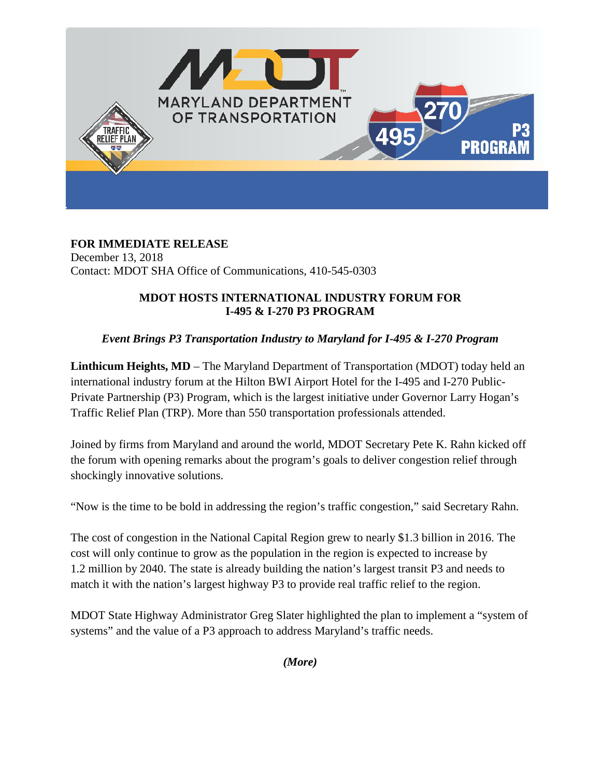

**FOR IMMEDIATE RELEASE** December 13, 2018 Contact: MDOT SHA Office of Communications, 410-545-0303

## **MDOT HOSTS INTERNATIONAL INDUSTRY FORUM FOR I-495 & I-270 P3 PROGRAM**

## *Event Brings P3 Transportation Industry to Maryland for I-495 & I-270 Program*

**Linthicum Heights, MD** – The Maryland Department of Transportation (MDOT) today held an international industry forum at the Hilton BWI Airport Hotel for the I-495 and I-270 Public-Private Partnership (P3) Program, which is the largest initiative under Governor Larry Hogan's Traffic Relief Plan (TRP). More than 550 transportation professionals attended.

Joined by firms from Maryland and around the world, MDOT Secretary Pete K. Rahn kicked off the forum with opening remarks about the program's goals to deliver congestion relief through shockingly innovative solutions.

"Now is the time to be bold in addressing the region's traffic congestion," said Secretary Rahn.

The cost of congestion in the National Capital Region grew to nearly \$1.3 billion in 2016. The cost will only continue to grow as the population in the region is expected to increase by 1.2 million by 2040. The state is already building the nation's largest transit P3 and needs to match it with the nation's largest highway P3 to provide real traffic relief to the region.

MDOT State Highway Administrator Greg Slater highlighted the plan to implement a "system of systems" and the value of a P3 approach to address Maryland's traffic needs.

*(More)*